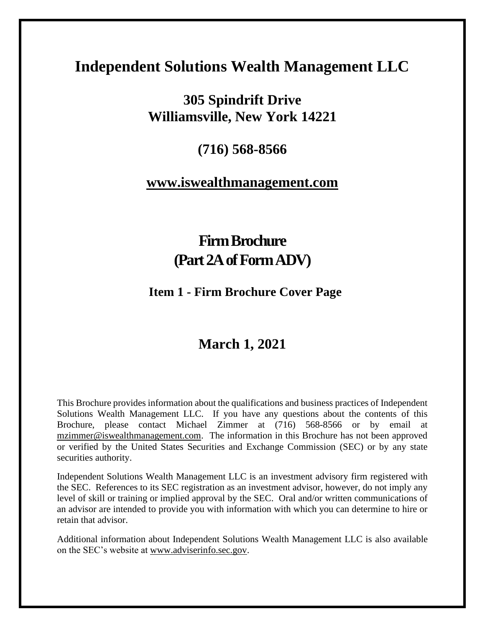# **Independent Solutions Wealth Management LLC**

# **305 Spindrift Drive Williamsville, New York 14221**

# **(716) 568-8566**

# **[www.iswealthmanagement.com](http://www.iswealthmanagement.com/)**

# **Firm Brochure (Part 2A of Form ADV)**

# **Item 1 - Firm Brochure Cover Page**

# **March 1, 2021**

This Brochure provides information about the qualifications and business practices of Independent Solutions Wealth Management LLC. If you have any questions about the contents of this Brochure, please contact Michael Zimmer at (716) 568-8566 or by email at [mzimmer@iswealthmanagement.com.](mailto:mzimmer@iswealthmanagement.com) The information in this Brochure has not been approved or verified by the United States Securities and Exchange Commission (SEC) or by any state securities authority.

Independent Solutions Wealth Management LLC is an investment advisory firm registered with the SEC. References to its SEC registration as an investment advisor, however, do not imply any level of skill or training or implied approval by the SEC. Oral and/or written communications of an advisor are intended to provide you with information with which you can determine to hire or retain that advisor.

Additional information about Independent Solutions Wealth Management LLC is also available on the SEC's website at [www.adviserinfo.sec.gov.](http://www.adviserinfo.sec.gov/)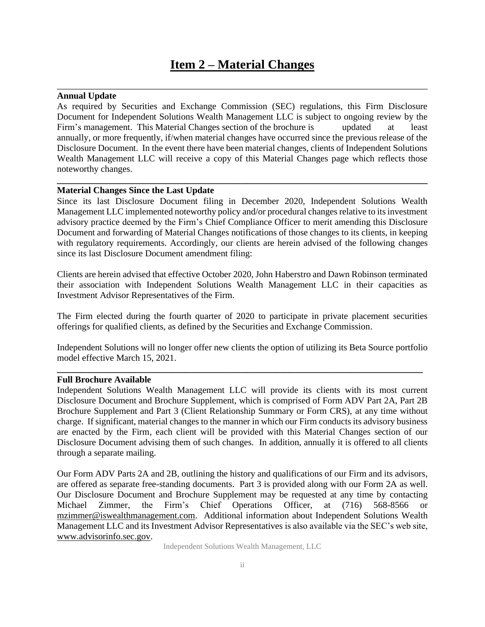# **Item 2 – Material Changes**

\_\_\_\_\_\_\_\_\_\_\_\_\_\_\_\_\_\_\_\_\_\_\_\_\_\_\_\_\_\_\_\_\_\_\_\_\_\_\_\_\_\_\_\_\_\_\_\_\_\_\_\_\_\_\_\_\_\_\_\_\_\_\_\_\_\_\_\_\_\_\_\_\_\_\_\_\_\_

## **Annual Update**

As required by Securities and Exchange Commission (SEC) regulations, this Firm Disclosure Document for Independent Solutions Wealth Management LLC is subject to ongoing review by the Firm's management. This Material Changes section of the brochure is a updated at least annually, or more frequently, if/when material changes have occurred since the previous release of the Disclosure Document. In the event there have been material changes, clients of Independent Solutions Wealth Management LLC will receive a copy of this Material Changes page which reflects those noteworthy changes.

**\_\_\_\_\_\_\_\_\_\_\_\_\_\_\_\_\_\_\_\_\_\_\_\_\_\_\_\_\_\_\_\_\_\_\_\_\_\_\_\_\_\_\_\_\_\_\_\_\_\_\_\_\_\_\_\_\_\_\_\_\_\_\_\_\_\_\_\_\_\_\_\_\_\_\_\_\_\_**

#### **Material Changes Since the Last Update**

Since its last Disclosure Document filing in December 2020, Independent Solutions Wealth Management LLC implemented noteworthy policy and/or procedural changes relative to its investment advisory practice deemed by the Firm's Chief Compliance Officer to merit amending this Disclosure Document and forwarding of Material Changes notifications of those changes to its clients, in keeping with regulatory requirements. Accordingly, our clients are herein advised of the following changes since its last Disclosure Document amendment filing:

Clients are herein advised that effective October 2020, John Haberstro and Dawn Robinson terminated their association with Independent Solutions Wealth Management LLC in their capacities as Investment Advisor Representatives of the Firm.

The Firm elected during the fourth quarter of 2020 to participate in private placement securities offerings for qualified clients, as defined by the Securities and Exchange Commission.

Independent Solutions will no longer offer new clients the option of utilizing its Beta Source portfolio model effective March 15, 2021.

**\_\_\_\_\_\_\_\_\_\_\_\_\_\_\_\_\_\_\_\_\_\_\_\_\_\_\_\_\_\_\_\_\_\_\_\_\_\_\_\_\_\_\_\_\_\_\_\_\_\_\_\_\_\_\_\_\_\_\_\_\_\_\_\_\_\_\_\_\_\_\_\_\_\_\_\_\_**

### **Full Brochure Available**

Independent Solutions Wealth Management LLC will provide its clients with its most current Disclosure Document and Brochure Supplement, which is comprised of Form ADV Part 2A, Part 2B Brochure Supplement and Part 3 (Client Relationship Summary or Form CRS), at any time without charge. If significant, material changes to the manner in which our Firm conducts its advisory business are enacted by the Firm, each client will be provided with this Material Changes section of our Disclosure Document advising them of such changes. In addition, annually it is offered to all clients through a separate mailing.

Our Form ADV Parts 2A and 2B, outlining the history and qualifications of our Firm and its advisors, are offered as separate free-standing documents. Part 3 is provided along with our Form 2A as well. Our Disclosure Document and Brochure Supplement may be requested at any time by contacting Michael Zimmer, the Firm's Chief Operations Officer, at (716) 568-8566 or [mzimmer@iswealthmanagement.com.](mailto:mzimmer@iswealthmanagement.com) Additional information about Independent Solutions Wealth Management LLC and its Investment Advisor Representatives is also available via the SEC's web site, [www.advisorinfo.sec.gov.](http://www.adviserinfo.sec.gov/)

Independent Solutions Wealth Management, LLC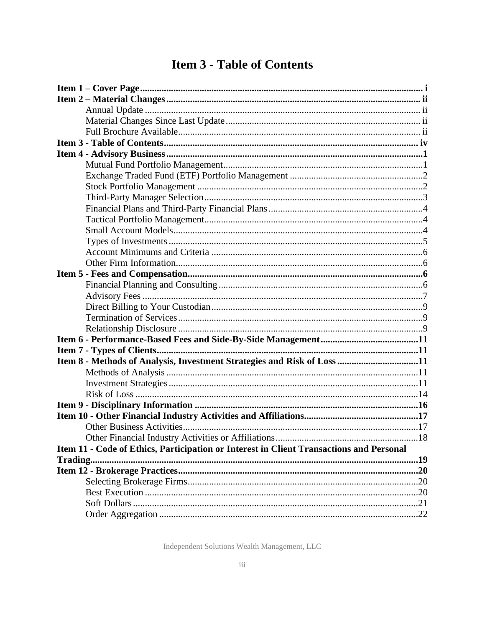# **Item 3 - Table of Contents**

| Item 8 - Methods of Analysis, Investment Strategies and Risk of Loss 11                 |  |
|-----------------------------------------------------------------------------------------|--|
|                                                                                         |  |
|                                                                                         |  |
|                                                                                         |  |
|                                                                                         |  |
|                                                                                         |  |
|                                                                                         |  |
|                                                                                         |  |
| Item 11 - Code of Ethics, Participation or Interest in Client Transactions and Personal |  |
|                                                                                         |  |
|                                                                                         |  |
|                                                                                         |  |
|                                                                                         |  |
|                                                                                         |  |
|                                                                                         |  |

Independent Solutions Wealth Management, LLC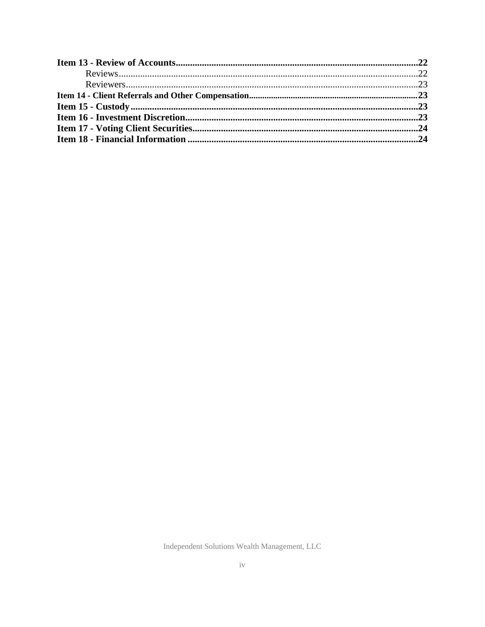Independent Solutions Wealth Management, LLC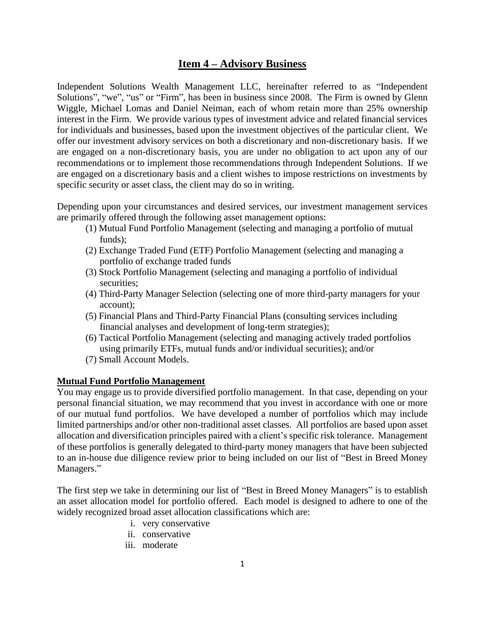# **Item 4 – Advisory Business**

Independent Solutions Wealth Management LLC, hereinafter referred to as "Independent Solutions", "we", "us" or "Firm", has been in business since 2008. The Firm is owned by Glenn Wiggle, Michael Lomas and Daniel Neiman, each of whom retain more than 25% ownership interest in the Firm. We provide various types of investment advice and related financial services for individuals and businesses, based upon the investment objectives of the particular client. We offer our investment advisory services on both a discretionary and non-discretionary basis. If we are engaged on a non-discretionary basis, you are under no obligation to act upon any of our recommendations or to implement those recommendations through Independent Solutions. If we are engaged on a discretionary basis and a client wishes to impose restrictions on investments by specific security or asset class, the client may do so in writing.

Depending upon your circumstances and desired services, our investment management services are primarily offered through the following asset management options:

- (1) Mutual Fund Portfolio Management (selecting and managing a portfolio of mutual funds);
- (2) Exchange Traded Fund (ETF) Portfolio Management (selecting and managing a portfolio of exchange traded funds
- (3) Stock Portfolio Management (selecting and managing a portfolio of individual securities;
- (4) Third-Party Manager Selection (selecting one of more third-party managers for your account);
- (5) Financial Plans and Third-Party Financial Plans (consulting services including financial analyses and development of long-term strategies);
- (6) Tactical Portfolio Management (selecting and managing actively traded portfolios using primarily ETFs, mutual funds and/or individual securities); and/or
- (7) Small Account Models.

# **Mutual Fund Portfolio Management**

You may engage us to provide diversified portfolio management. In that case, depending on your personal financial situation, we may recommend that you invest in accordance with one or more of our mutual fund portfolios. We have developed a number of portfolios which may include limited partnerships and/or other non-traditional asset classes. All portfolios are based upon asset allocation and diversification principles paired with a client's specific risk tolerance. Management of these portfolios is generally delegated to third-party money managers that have been subjected to an in-house due diligence review prior to being included on our list of "Best in Breed Money Managers."

The first step we take in determining our list of "Best in Breed Money Managers" is to establish an asset allocation model for portfolio offered. Each model is designed to adhere to one of the widely recognized broad asset allocation classifications which are:

- i. very conservative
- ii. conservative
- iii. moderate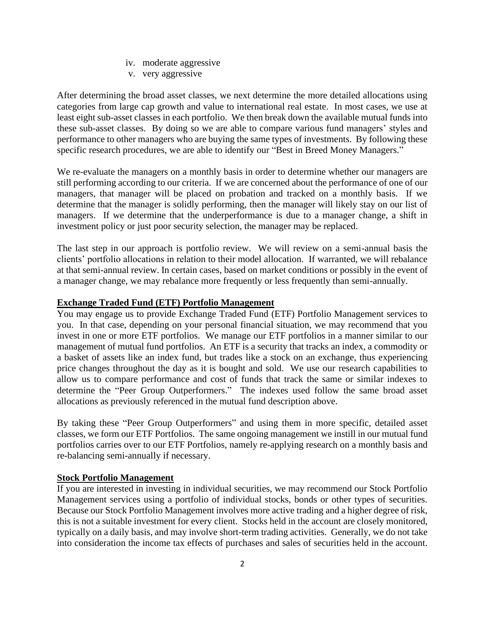- iv. moderate aggressive
- v. very aggressive

After determining the broad asset classes, we next determine the more detailed allocations using categories from large cap growth and value to international real estate. In most cases, we use at least eight sub-asset classes in each portfolio. We then break down the available mutual funds into these sub-asset classes. By doing so we are able to compare various fund managers' styles and performance to other managers who are buying the same types of investments. By following these specific research procedures, we are able to identify our "Best in Breed Money Managers."

We re-evaluate the managers on a monthly basis in order to determine whether our managers are still performing according to our criteria. If we are concerned about the performance of one of our managers, that manager will be placed on probation and tracked on a monthly basis. If we determine that the manager is solidly performing, then the manager will likely stay on our list of managers. If we determine that the underperformance is due to a manager change, a shift in investment policy or just poor security selection, the manager may be replaced.

The last step in our approach is portfolio review. We will review on a semi-annual basis the clients' portfolio allocations in relation to their model allocation. If warranted, we will rebalance at that semi-annual review. In certain cases, based on market conditions or possibly in the event of a manager change, we may rebalance more frequently or less frequently than semi-annually.

## **Exchange Traded Fund (ETF) Portfolio Management**

You may engage us to provide Exchange Traded Fund (ETF) Portfolio Management services to you. In that case, depending on your personal financial situation, we may recommend that you invest in one or more ETF portfolios. We manage our ETF portfolios in a manner similar to our management of mutual fund portfolios. An ETF is a security that tracks an index, a commodity or a basket of assets like an index fund, but trades like a stock on an exchange, thus experiencing price changes throughout the day as it is bought and sold. We use our research capabilities to allow us to compare performance and cost of funds that track the same or similar indexes to determine the "Peer Group Outperformers." The indexes used follow the same broad asset allocations as previously referenced in the mutual fund description above.

By taking these "Peer Group Outperformers" and using them in more specific, detailed asset classes, we form our ETF Portfolios. The same ongoing management we instill in our mutual fund portfolios carries over to our ETF Portfolios, namely re-applying research on a monthly basis and re-balancing semi-annually if necessary.

#### **Stock Portfolio Management**

If you are interested in investing in individual securities, we may recommend our Stock Portfolio Management services using a portfolio of individual stocks, bonds or other types of securities. Because our Stock Portfolio Management involves more active trading and a higher degree of risk, this is not a suitable investment for every client. Stocks held in the account are closely monitored, typically on a daily basis, and may involve short-term trading activities. Generally, we do not take into consideration the income tax effects of purchases and sales of securities held in the account.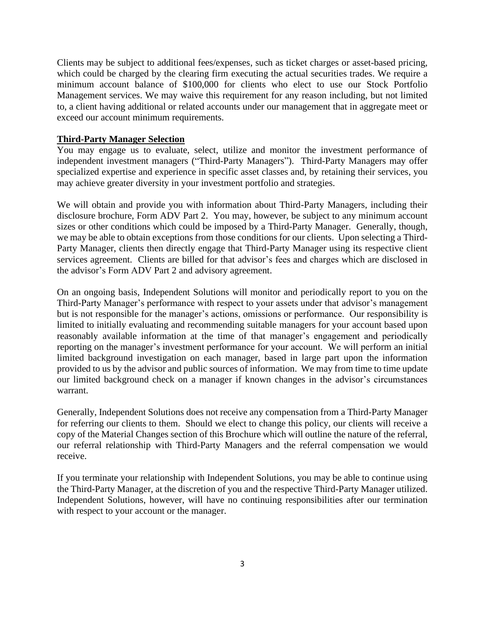Clients may be subject to additional fees/expenses, such as ticket charges or asset-based pricing, which could be charged by the clearing firm executing the actual securities trades. We require a minimum account balance of \$100,000 for clients who elect to use our Stock Portfolio Management services. We may waive this requirement for any reason including, but not limited to, a client having additional or related accounts under our management that in aggregate meet or exceed our account minimum requirements.

# **Third-Party Manager Selection**

You may engage us to evaluate, select, utilize and monitor the investment performance of independent investment managers ("Third-Party Managers"). Third-Party Managers may offer specialized expertise and experience in specific asset classes and, by retaining their services, you may achieve greater diversity in your investment portfolio and strategies.

We will obtain and provide you with information about Third-Party Managers, including their disclosure brochure, Form ADV Part 2. You may, however, be subject to any minimum account sizes or other conditions which could be imposed by a Third-Party Manager. Generally, though, we may be able to obtain exceptions from those conditions for our clients. Upon selecting a Third-Party Manager, clients then directly engage that Third-Party Manager using its respective client services agreement. Clients are billed for that advisor's fees and charges which are disclosed in the advisor's Form ADV Part 2 and advisory agreement.

On an ongoing basis, Independent Solutions will monitor and periodically report to you on the Third-Party Manager's performance with respect to your assets under that advisor's management but is not responsible for the manager's actions, omissions or performance. Our responsibility is limited to initially evaluating and recommending suitable managers for your account based upon reasonably available information at the time of that manager's engagement and periodically reporting on the manager's investment performance for your account. We will perform an initial limited background investigation on each manager, based in large part upon the information provided to us by the advisor and public sources of information. We may from time to time update our limited background check on a manager if known changes in the advisor's circumstances warrant.

Generally, Independent Solutions does not receive any compensation from a Third-Party Manager for referring our clients to them. Should we elect to change this policy, our clients will receive a copy of the Material Changes section of this Brochure which will outline the nature of the referral, our referral relationship with Third-Party Managers and the referral compensation we would receive.

If you terminate your relationship with Independent Solutions, you may be able to continue using the Third-Party Manager, at the discretion of you and the respective Third-Party Manager utilized. Independent Solutions, however, will have no continuing responsibilities after our termination with respect to your account or the manager.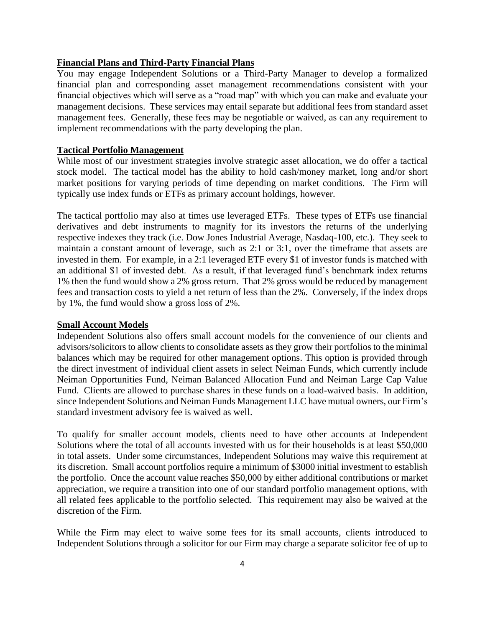#### **Financial Plans and Third-Party Financial Plans**

You may engage Independent Solutions or a Third-Party Manager to develop a formalized financial plan and corresponding asset management recommendations consistent with your financial objectives which will serve as a "road map" with which you can make and evaluate your management decisions. These services may entail separate but additional fees from standard asset management fees. Generally, these fees may be negotiable or waived, as can any requirement to implement recommendations with the party developing the plan.

# **Tactical Portfolio Management**

While most of our investment strategies involve strategic asset allocation, we do offer a tactical stock model. The tactical model has the ability to hold cash/money market, long and/or short market positions for varying periods of time depending on market conditions. The Firm will typically use index funds or ETFs as primary account holdings, however.

The tactical portfolio may also at times use leveraged ETFs. These types of ETFs use financial derivatives and debt instruments to magnify for its investors the returns of the underlying respective indexes they track (i.e. Dow Jones Industrial Average, Nasdaq-100, etc.). They seek to maintain a constant amount of leverage, such as 2:1 or 3:1, over the timeframe that assets are invested in them. For example, in a 2:1 leveraged ETF every \$1 of investor funds is matched with an additional \$1 of invested debt. As a result, if that leveraged fund's benchmark index returns 1% then the fund would show a 2% gross return. That 2% gross would be reduced by management fees and transaction costs to yield a net return of less than the 2%. Conversely, if the index drops by 1%, the fund would show a gross loss of 2%.

#### **Small Account Models**

Independent Solutions also offers small account models for the convenience of our clients and advisors/solicitors to allow clients to consolidate assets as they grow their portfolios to the minimal balances which may be required for other management options. This option is provided through the direct investment of individual client assets in select Neiman Funds, which currently include Neiman Opportunities Fund, Neiman Balanced Allocation Fund and Neiman Large Cap Value Fund. Clients are allowed to purchase shares in these funds on a load-waived basis. In addition, since Independent Solutions and Neiman Funds Management LLC have mutual owners, our Firm's standard investment advisory fee is waived as well.

To qualify for smaller account models, clients need to have other accounts at Independent Solutions where the total of all accounts invested with us for their households is at least \$50,000 in total assets. Under some circumstances, Independent Solutions may waive this requirement at its discretion. Small account portfolios require a minimum of \$3000 initial investment to establish the portfolio. Once the account value reaches \$50,000 by either additional contributions or market appreciation, we require a transition into one of our standard portfolio management options, with all related fees applicable to the portfolio selected. This requirement may also be waived at the discretion of the Firm.

While the Firm may elect to waive some fees for its small accounts, clients introduced to Independent Solutions through a solicitor for our Firm may charge a separate solicitor fee of up to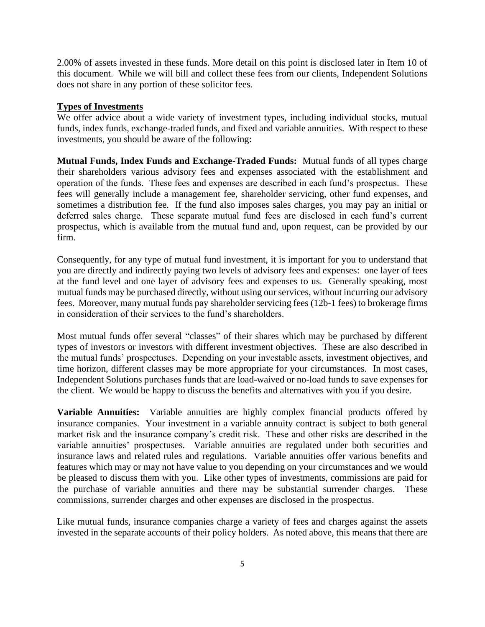2.00% of assets invested in these funds. More detail on this point is disclosed later in Item 10 of this document. While we will bill and collect these fees from our clients, Independent Solutions does not share in any portion of these solicitor fees.

#### **Types of Investments**

We offer advice about a wide variety of investment types, including individual stocks, mutual funds, index funds, exchange-traded funds, and fixed and variable annuities. With respect to these investments, you should be aware of the following:

**Mutual Funds, Index Funds and Exchange-Traded Funds:** Mutual funds of all types charge their shareholders various advisory fees and expenses associated with the establishment and operation of the funds. These fees and expenses are described in each fund's prospectus. These fees will generally include a management fee, shareholder servicing, other fund expenses, and sometimes a distribution fee. If the fund also imposes sales charges, you may pay an initial or deferred sales charge. These separate mutual fund fees are disclosed in each fund's current prospectus, which is available from the mutual fund and, upon request, can be provided by our firm.

Consequently, for any type of mutual fund investment, it is important for you to understand that you are directly and indirectly paying two levels of advisory fees and expenses: one layer of fees at the fund level and one layer of advisory fees and expenses to us. Generally speaking, most mutual funds may be purchased directly, without using our services, without incurring our advisory fees. Moreover, many mutual funds pay shareholder servicing fees (12b-1 fees) to brokerage firms in consideration of their services to the fund's shareholders.

Most mutual funds offer several "classes" of their shares which may be purchased by different types of investors or investors with different investment objectives. These are also described in the mutual funds' prospectuses. Depending on your investable assets, investment objectives, and time horizon, different classes may be more appropriate for your circumstances. In most cases, Independent Solutions purchases funds that are load-waived or no-load funds to save expenses for the client. We would be happy to discuss the benefits and alternatives with you if you desire.

**Variable Annuities:** Variable annuities are highly complex financial products offered by insurance companies. Your investment in a variable annuity contract is subject to both general market risk and the insurance company's credit risk. These and other risks are described in the variable annuities' prospectuses. Variable annuities are regulated under both securities and insurance laws and related rules and regulations. Variable annuities offer various benefits and features which may or may not have value to you depending on your circumstances and we would be pleased to discuss them with you. Like other types of investments, commissions are paid for the purchase of variable annuities and there may be substantial surrender charges. These commissions, surrender charges and other expenses are disclosed in the prospectus.

Like mutual funds, insurance companies charge a variety of fees and charges against the assets invested in the separate accounts of their policy holders. As noted above, this means that there are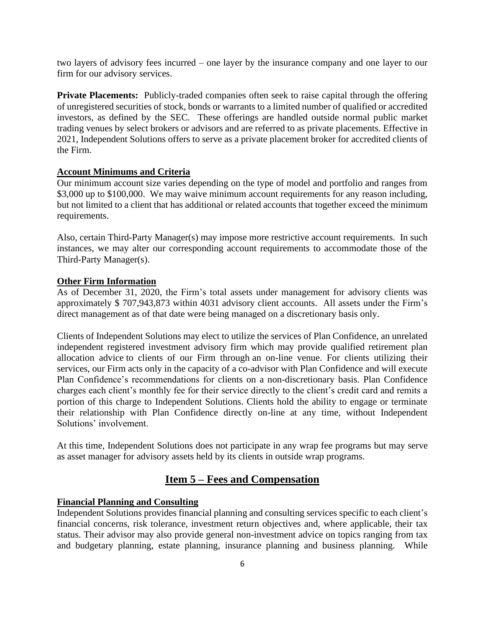two layers of advisory fees incurred – one layer by the insurance company and one layer to our firm for our advisory services.

**Private Placements:** Publicly-traded companies often seek to raise capital through the offering of unregistered securities of stock, bonds or warrants to a limited number of qualified or accredited investors, as defined by the SEC. These offerings are handled outside normal public market trading venues by select brokers or advisors and are referred to as private placements. Effective in 2021, Independent Solutions offers to serve as a private placement broker for accredited clients of the Firm.

# **Account Minimums and Criteria**

Our minimum account size varies depending on the type of model and portfolio and ranges from \$3,000 up to \$100,000. We may waive minimum account requirements for any reason including, but not limited to a client that has additional or related accounts that together exceed the minimum requirements.

Also, certain Third-Party Manager(s) may impose more restrictive account requirements. In such instances, we may alter our corresponding account requirements to accommodate those of the Third-Party Manager(s).

#### **Other Firm Information**

As of December 31, 2020, the Firm's total assets under management for advisory clients was approximately \$ 707,943,873 within 4031 advisory client accounts. All assets under the Firm's direct management as of that date were being managed on a discretionary basis only.

Clients of Independent Solutions may elect to utilize the services of Plan Confidence, an unrelated independent registered investment advisory firm which may provide qualified retirement plan allocation advice to clients of our Firm through an on-line venue. For clients utilizing their services, our Firm acts only in the capacity of a co-advisor with Plan Confidence and will execute Plan Confidence's recommendations for clients on a non-discretionary basis. Plan Confidence charges each client's monthly fee for their service directly to the client's credit card and remits a portion of this charge to Independent Solutions. Clients hold the ability to engage or terminate their relationship with Plan Confidence directly on-line at any time, without Independent Solutions' involvement.

At this time, Independent Solutions does not participate in any wrap fee programs but may serve as asset manager for advisory assets held by its clients in outside wrap programs.

# **Item 5 – Fees and Compensation**

## **Financial Planning and Consulting**

Independent Solutions provides financial planning and consulting services specific to each client's financial concerns, risk tolerance, investment return objectives and, where applicable, their tax status. Their advisor may also provide general non-investment advice on topics ranging from tax and budgetary planning, estate planning, insurance planning and business planning. While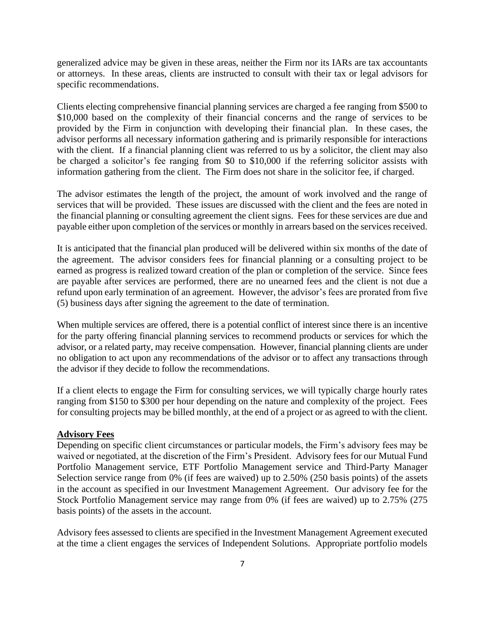generalized advice may be given in these areas, neither the Firm nor its IARs are tax accountants or attorneys. In these areas, clients are instructed to consult with their tax or legal advisors for specific recommendations.

Clients electing comprehensive financial planning services are charged a fee ranging from \$500 to \$10,000 based on the complexity of their financial concerns and the range of services to be provided by the Firm in conjunction with developing their financial plan. In these cases, the advisor performs all necessary information gathering and is primarily responsible for interactions with the client. If a financial planning client was referred to us by a solicitor, the client may also be charged a solicitor's fee ranging from \$0 to \$10,000 if the referring solicitor assists with information gathering from the client. The Firm does not share in the solicitor fee, if charged.

The advisor estimates the length of the project, the amount of work involved and the range of services that will be provided. These issues are discussed with the client and the fees are noted in the financial planning or consulting agreement the client signs. Fees for these services are due and payable either upon completion of the services or monthly in arrears based on the services received.

It is anticipated that the financial plan produced will be delivered within six months of the date of the agreement. The advisor considers fees for financial planning or a consulting project to be earned as progress is realized toward creation of the plan or completion of the service. Since fees are payable after services are performed, there are no unearned fees and the client is not due a refund upon early termination of an agreement. However, the advisor's fees are prorated from five (5) business days after signing the agreement to the date of termination.

When multiple services are offered, there is a potential conflict of interest since there is an incentive for the party offering financial planning services to recommend products or services for which the advisor, or a related party, may receive compensation. However, financial planning clients are under no obligation to act upon any recommendations of the advisor or to affect any transactions through the advisor if they decide to follow the recommendations.

If a client elects to engage the Firm for consulting services, we will typically charge hourly rates ranging from \$150 to \$300 per hour depending on the nature and complexity of the project. Fees for consulting projects may be billed monthly, at the end of a project or as agreed to with the client.

#### **Advisory Fees**

Depending on specific client circumstances or particular models, the Firm's advisory fees may be waived or negotiated, at the discretion of the Firm's President. Advisory fees for our Mutual Fund Portfolio Management service, ETF Portfolio Management service and Third-Party Manager Selection service range from 0% (if fees are waived) up to 2.50% (250 basis points) of the assets in the account as specified in our Investment Management Agreement. Our advisory fee for the Stock Portfolio Management service may range from 0% (if fees are waived) up to 2.75% (275 basis points) of the assets in the account.

Advisory fees assessed to clients are specified in the Investment Management Agreement executed at the time a client engages the services of Independent Solutions. Appropriate portfolio models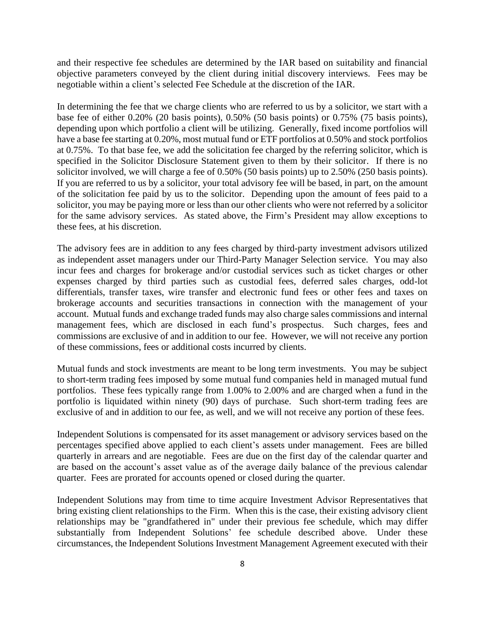and their respective fee schedules are determined by the IAR based on suitability and financial objective parameters conveyed by the client during initial discovery interviews. Fees may be negotiable within a client's selected Fee Schedule at the discretion of the IAR.

In determining the fee that we charge clients who are referred to us by a solicitor, we start with a base fee of either 0.20% (20 basis points), 0.50% (50 basis points) or 0.75% (75 basis points), depending upon which portfolio a client will be utilizing. Generally, fixed income portfolios will have a base fee starting at 0.20%, most mutual fund or ETF portfolios at 0.50% and stock portfolios at 0.75%. To that base fee, we add the solicitation fee charged by the referring solicitor, which is specified in the Solicitor Disclosure Statement given to them by their solicitor. If there is no solicitor involved, we will charge a fee of 0.50% (50 basis points) up to 2.50% (250 basis points). If you are referred to us by a solicitor, your total advisory fee will be based, in part, on the amount of the solicitation fee paid by us to the solicitor. Depending upon the amount of fees paid to a solicitor, you may be paying more or less than our other clients who were not referred by a solicitor for the same advisory services. As stated above, the Firm's President may allow exceptions to these fees, at his discretion.

The advisory fees are in addition to any fees charged by third-party investment advisors utilized as independent asset managers under our Third-Party Manager Selection service. You may also incur fees and charges for brokerage and/or custodial services such as ticket charges or other expenses charged by third parties such as custodial fees, deferred sales charges, odd-lot differentials, transfer taxes, wire transfer and electronic fund fees or other fees and taxes on brokerage accounts and securities transactions in connection with the management of your account. Mutual funds and exchange traded funds may also charge sales commissions and internal management fees, which are disclosed in each fund's prospectus. Such charges, fees and commissions are exclusive of and in addition to our fee. However, we will not receive any portion of these commissions, fees or additional costs incurred by clients.

Mutual funds and stock investments are meant to be long term investments. You may be subject to short-term trading fees imposed by some mutual fund companies held in managed mutual fund portfolios. These fees typically range from 1.00% to 2.00% and are charged when a fund in the portfolio is liquidated within ninety (90) days of purchase. Such short-term trading fees are exclusive of and in addition to our fee, as well, and we will not receive any portion of these fees.

Independent Solutions is compensated for its asset management or advisory services based on the percentages specified above applied to each client's assets under management. Fees are billed quarterly in arrears and are negotiable. Fees are due on the first day of the calendar quarter and are based on the account's asset value as of the average daily balance of the previous calendar quarter. Fees are prorated for accounts opened or closed during the quarter.

Independent Solutions may from time to time acquire Investment Advisor Representatives that bring existing client relationships to the Firm. When this is the case, their existing advisory client relationships may be "grandfathered in" under their previous fee schedule, which may differ substantially from Independent Solutions' fee schedule described above. Under these circumstances, the Independent Solutions Investment Management Agreement executed with their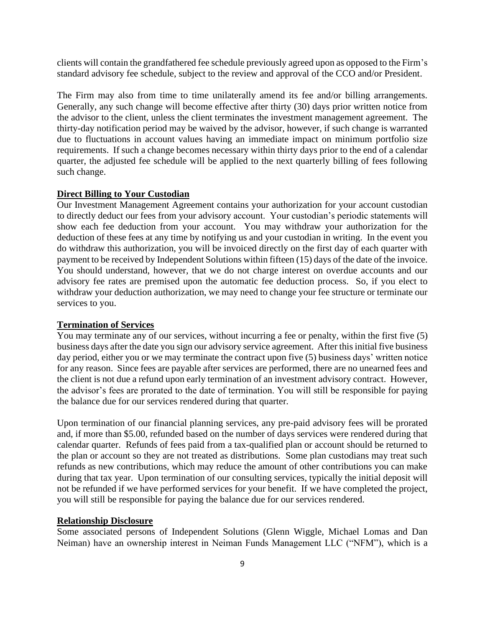clients will contain the grandfathered fee schedule previously agreed upon as opposed to the Firm's standard advisory fee schedule, subject to the review and approval of the CCO and/or President.

The Firm may also from time to time unilaterally amend its fee and/or billing arrangements. Generally, any such change will become effective after thirty (30) days prior written notice from the advisor to the client, unless the client terminates the investment management agreement. The thirty-day notification period may be waived by the advisor, however, if such change is warranted due to fluctuations in account values having an immediate impact on minimum portfolio size requirements. If such a change becomes necessary within thirty days prior to the end of a calendar quarter, the adjusted fee schedule will be applied to the next quarterly billing of fees following such change.

### **Direct Billing to Your Custodian**

Our Investment Management Agreement contains your authorization for your account custodian to directly deduct our fees from your advisory account. Your custodian's periodic statements will show each fee deduction from your account. You may withdraw your authorization for the deduction of these fees at any time by notifying us and your custodian in writing. In the event you do withdraw this authorization, you will be invoiced directly on the first day of each quarter with payment to be received by Independent Solutions within fifteen (15) days of the date of the invoice. You should understand, however, that we do not charge interest on overdue accounts and our advisory fee rates are premised upon the automatic fee deduction process. So, if you elect to withdraw your deduction authorization, we may need to change your fee structure or terminate our services to you.

#### **Termination of Services**

You may terminate any of our services, without incurring a fee or penalty, within the first five (5) business days after the date you sign our advisory service agreement. After this initial five business day period, either you or we may terminate the contract upon five (5) business days' written notice for any reason. Since fees are payable after services are performed, there are no unearned fees and the client is not due a refund upon early termination of an investment advisory contract. However, the advisor's fees are prorated to the date of termination. You will still be responsible for paying the balance due for our services rendered during that quarter.

Upon termination of our financial planning services, any pre-paid advisory fees will be prorated and, if more than \$5.00, refunded based on the number of days services were rendered during that calendar quarter. Refunds of fees paid from a tax-qualified plan or account should be returned to the plan or account so they are not treated as distributions. Some plan custodians may treat such refunds as new contributions, which may reduce the amount of other contributions you can make during that tax year. Upon termination of our consulting services, typically the initial deposit will not be refunded if we have performed services for your benefit. If we have completed the project, you will still be responsible for paying the balance due for our services rendered.

#### **Relationship Disclosure**

Some associated persons of Independent Solutions (Glenn Wiggle, Michael Lomas and Dan Neiman) have an ownership interest in Neiman Funds Management LLC ("NFM"), which is a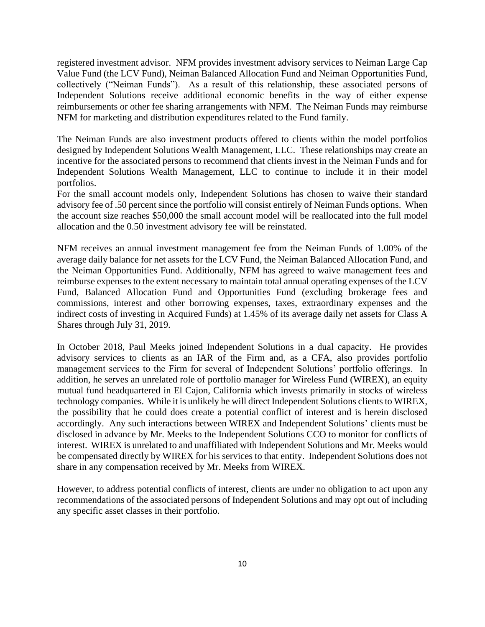registered investment advisor. NFM provides investment advisory services to Neiman Large Cap Value Fund (the LCV Fund), Neiman Balanced Allocation Fund and Neiman Opportunities Fund, collectively ("Neiman Funds"). As a result of this relationship, these associated persons of Independent Solutions receive additional economic benefits in the way of either expense reimbursements or other fee sharing arrangements with NFM. The Neiman Funds may reimburse NFM for marketing and distribution expenditures related to the Fund family.

The Neiman Funds are also investment products offered to clients within the model portfolios designed by Independent Solutions Wealth Management, LLC. These relationships may create an incentive for the associated persons to recommend that clients invest in the Neiman Funds and for Independent Solutions Wealth Management, LLC to continue to include it in their model portfolios.

For the small account models only, Independent Solutions has chosen to waive their standard advisory fee of .50 percent since the portfolio will consist entirely of Neiman Funds options. When the account size reaches \$50,000 the small account model will be reallocated into the full model allocation and the 0.50 investment advisory fee will be reinstated.

NFM receives an annual investment management fee from the Neiman Funds of 1.00% of the average daily balance for net assets for the LCV Fund, the Neiman Balanced Allocation Fund, and the Neiman Opportunities Fund. Additionally, NFM has agreed to waive management fees and reimburse expenses to the extent necessary to maintain total annual operating expenses of the LCV Fund, Balanced Allocation Fund and Opportunities Fund (excluding brokerage fees and commissions, interest and other borrowing expenses, taxes, extraordinary expenses and the indirect costs of investing in Acquired Funds) at 1.45% of its average daily net assets for Class A Shares through July 31, 2019.

In October 2018, Paul Meeks joined Independent Solutions in a dual capacity. He provides advisory services to clients as an IAR of the Firm and, as a CFA, also provides portfolio management services to the Firm for several of Independent Solutions' portfolio offerings. In addition, he serves an unrelated role of portfolio manager for Wireless Fund (WIREX), an equity mutual fund headquartered in El Cajon, California which invests primarily in stocks of wireless technology companies. While it is unlikely he will direct Independent Solutions clients to WIREX, the possibility that he could does create a potential conflict of interest and is herein disclosed accordingly. Any such interactions between WIREX and Independent Solutions' clients must be disclosed in advance by Mr. Meeks to the Independent Solutions CCO to monitor for conflicts of interest. WIREX is unrelated to and unaffiliated with Independent Solutions and Mr. Meeks would be compensated directly by WIREX for his services to that entity. Independent Solutions does not share in any compensation received by Mr. Meeks from WIREX.

However, to address potential conflicts of interest, clients are under no obligation to act upon any recommendations of the associated persons of Independent Solutions and may opt out of including any specific asset classes in their portfolio.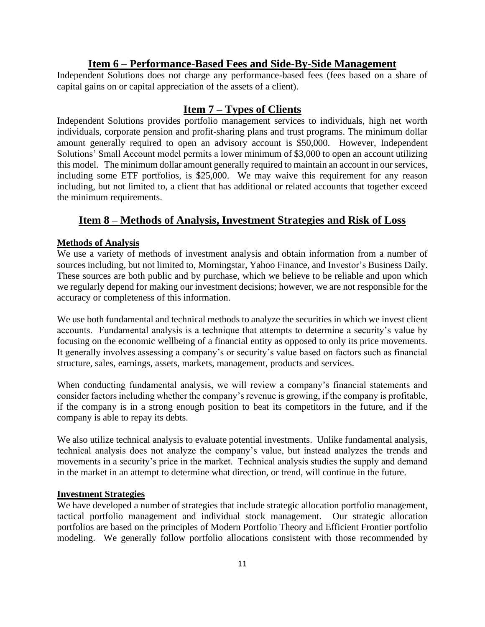# **Item 6 – Performance-Based Fees and Side-By-Side Management**

Independent Solutions does not charge any performance-based fees (fees based on a share of capital gains on or capital appreciation of the assets of a client).

# **Item 7 – Types of Clients**

Independent Solutions provides portfolio management services to individuals, high net worth individuals, corporate pension and profit-sharing plans and trust programs. The minimum dollar amount generally required to open an advisory account is \$50,000. However, Independent Solutions' Small Account model permits a lower minimum of \$3,000 to open an account utilizing this model. The minimum dollar amount generally required to maintain an account in our services, including some ETF portfolios, is \$25,000. We may waive this requirement for any reason including, but not limited to, a client that has additional or related accounts that together exceed the minimum requirements.

# **Item 8 – Methods of Analysis, Investment Strategies and Risk of Loss**

# **Methods of Analysis**

We use a variety of methods of investment analysis and obtain information from a number of sources including, but not limited to, Morningstar, Yahoo Finance, and Investor's Business Daily. These sources are both public and by purchase, which we believe to be reliable and upon which we regularly depend for making our investment decisions; however, we are not responsible for the accuracy or completeness of this information.

We use both fundamental and technical methods to analyze the securities in which we invest client accounts. Fundamental analysis is a technique that attempts to determine a security's value by focusing on the economic wellbeing of a financial entity as opposed to only its price movements. It generally involves assessing a company's or security's value based on factors such as financial structure, sales, earnings, assets, markets, management, products and services.

When conducting fundamental analysis, we will review a company's financial statements and consider factors including whether the company's revenue is growing, if the company is profitable, if the company is in a strong enough position to beat its competitors in the future, and if the company is able to repay its debts.

We also utilize technical analysis to evaluate potential investments. Unlike fundamental analysis, technical analysis does not analyze the company's value, but instead analyzes the trends and movements in a security's price in the market. Technical analysis studies the supply and demand in the market in an attempt to determine what direction, or trend, will continue in the future.

## **Investment Strategies**

We have developed a number of strategies that include strategic allocation portfolio management, tactical portfolio management and individual stock management. Our strategic allocation portfolios are based on the principles of Modern Portfolio Theory and Efficient Frontier portfolio modeling. We generally follow portfolio allocations consistent with those recommended by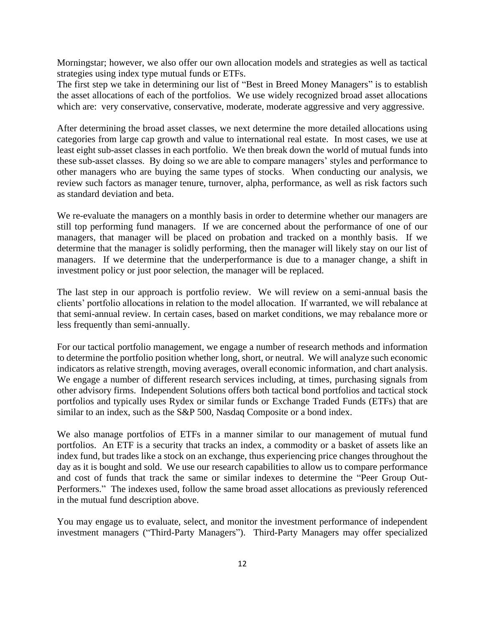Morningstar; however, we also offer our own allocation models and strategies as well as tactical strategies using index type mutual funds or ETFs.

The first step we take in determining our list of "Best in Breed Money Managers" is to establish the asset allocations of each of the portfolios. We use widely recognized broad asset allocations which are: very conservative, conservative, moderate, moderate aggressive and very aggressive.

After determining the broad asset classes, we next determine the more detailed allocations using categories from large cap growth and value to international real estate. In most cases, we use at least eight sub-asset classes in each portfolio. We then break down the world of mutual funds into these sub-asset classes. By doing so we are able to compare managers' styles and performance to other managers who are buying the same types of stocks. When conducting our analysis, we review such factors as manager tenure, turnover, alpha, performance, as well as risk factors such as standard deviation and beta.

We re-evaluate the managers on a monthly basis in order to determine whether our managers are still top performing fund managers. If we are concerned about the performance of one of our managers, that manager will be placed on probation and tracked on a monthly basis. If we determine that the manager is solidly performing, then the manager will likely stay on our list of managers. If we determine that the underperformance is due to a manager change, a shift in investment policy or just poor selection, the manager will be replaced.

The last step in our approach is portfolio review. We will review on a semi-annual basis the clients' portfolio allocations in relation to the model allocation. If warranted, we will rebalance at that semi-annual review. In certain cases, based on market conditions, we may rebalance more or less frequently than semi-annually.

For our tactical portfolio management, we engage a number of research methods and information to determine the portfolio position whether long, short, or neutral. We will analyze such economic indicators as relative strength, moving averages, overall economic information, and chart analysis. We engage a number of different research services including, at times, purchasing signals from other advisory firms. Independent Solutions offers both tactical bond portfolios and tactical stock portfolios and typically uses Rydex or similar funds or Exchange Traded Funds (ETFs) that are similar to an index, such as the S&P 500, Nasdaq Composite or a bond index.

We also manage portfolios of ETFs in a manner similar to our management of mutual fund portfolios. An ETF is a security that tracks an index, a commodity or a basket of assets like an index fund, but trades like a stock on an exchange, thus experiencing price changes throughout the day as it is bought and sold. We use our research capabilities to allow us to compare performance and cost of funds that track the same or similar indexes to determine the "Peer Group Out-Performers." The indexes used, follow the same broad asset allocations as previously referenced in the mutual fund description above.

You may engage us to evaluate, select, and monitor the investment performance of independent investment managers ("Third-Party Managers"). Third-Party Managers may offer specialized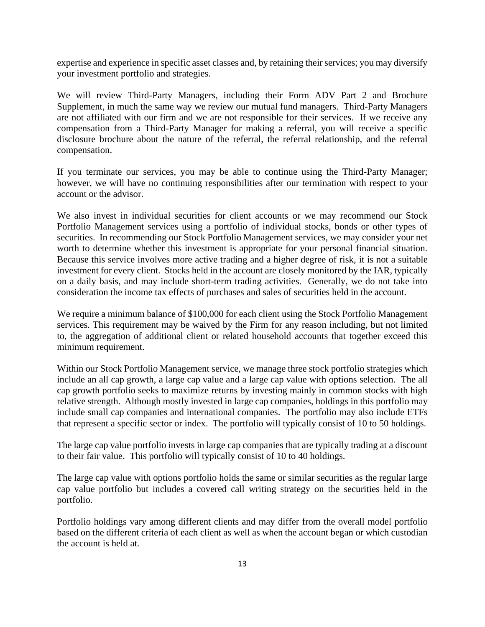expertise and experience in specific asset classes and, by retaining their services; you may diversify your investment portfolio and strategies.

We will review Third-Party Managers, including their Form ADV Part 2 and Brochure Supplement, in much the same way we review our mutual fund managers. Third-Party Managers are not affiliated with our firm and we are not responsible for their services. If we receive any compensation from a Third-Party Manager for making a referral, you will receive a specific disclosure brochure about the nature of the referral, the referral relationship, and the referral compensation.

If you terminate our services, you may be able to continue using the Third-Party Manager; however, we will have no continuing responsibilities after our termination with respect to your account or the advisor.

We also invest in individual securities for client accounts or we may recommend our Stock Portfolio Management services using a portfolio of individual stocks, bonds or other types of securities. In recommending our Stock Portfolio Management services, we may consider your net worth to determine whether this investment is appropriate for your personal financial situation. Because this service involves more active trading and a higher degree of risk, it is not a suitable investment for every client. Stocks held in the account are closely monitored by the IAR, typically on a daily basis, and may include short-term trading activities. Generally, we do not take into consideration the income tax effects of purchases and sales of securities held in the account.

We require a minimum balance of \$100,000 for each client using the Stock Portfolio Management services. This requirement may be waived by the Firm for any reason including, but not limited to, the aggregation of additional client or related household accounts that together exceed this minimum requirement.

Within our Stock Portfolio Management service, we manage three stock portfolio strategies which include an all cap growth, a large cap value and a large cap value with options selection. The all cap growth portfolio seeks to maximize returns by investing mainly in common stocks with high relative strength. Although mostly invested in large cap companies, holdings in this portfolio may include small cap companies and international companies. The portfolio may also include ETFs that represent a specific sector or index. The portfolio will typically consist of 10 to 50 holdings.

The large cap value portfolio invests in large cap companies that are typically trading at a discount to their fair value. This portfolio will typically consist of 10 to 40 holdings.

The large cap value with options portfolio holds the same or similar securities as the regular large cap value portfolio but includes a covered call writing strategy on the securities held in the portfolio.

Portfolio holdings vary among different clients and may differ from the overall model portfolio based on the different criteria of each client as well as when the account began or which custodian the account is held at.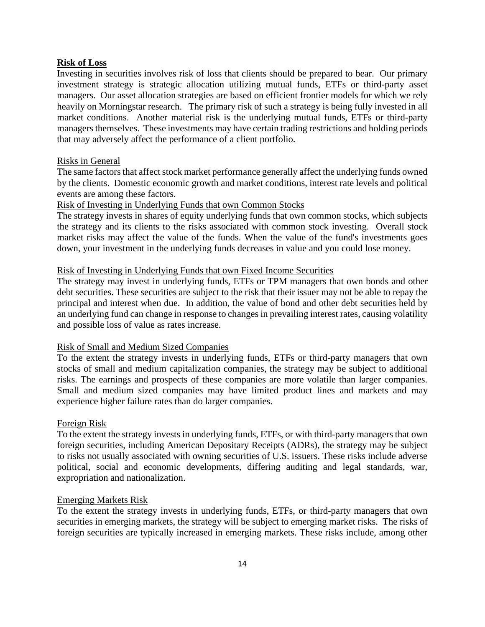### **Risk of Loss**

Investing in securities involves risk of loss that clients should be prepared to bear. Our primary investment strategy is strategic allocation utilizing mutual funds, ETFs or third-party asset managers. Our asset allocation strategies are based on efficient frontier models for which we rely heavily on Morningstar research. The primary risk of such a strategy is being fully invested in all market conditions. Another material risk is the underlying mutual funds, ETFs or third-party managers themselves. These investments may have certain trading restrictions and holding periods that may adversely affect the performance of a client portfolio.

#### Risks in General

The same factors that affect stock market performance generally affect the underlying funds owned by the clients. Domestic economic growth and market conditions, interest rate levels and political events are among these factors.

# Risk of Investing in Underlying Funds that own Common Stocks

The strategy invests in shares of equity underlying funds that own common stocks, which subjects the strategy and its clients to the risks associated with common stock investing. Overall stock market risks may affect the value of the funds. When the value of the fund's investments goes down, your investment in the underlying funds decreases in value and you could lose money.

#### Risk of Investing in Underlying Funds that own Fixed Income Securities

The strategy may invest in underlying funds, ETFs or TPM managers that own bonds and other debt securities. These securities are subject to the risk that their issuer may not be able to repay the principal and interest when due. In addition, the value of bond and other debt securities held by an underlying fund can change in response to changes in prevailing interest rates, causing volatility and possible loss of value as rates increase.

## Risk of Small and Medium Sized Companies

To the extent the strategy invests in underlying funds, ETFs or third-party managers that own stocks of small and medium capitalization companies, the strategy may be subject to additional risks. The earnings and prospects of these companies are more volatile than larger companies. Small and medium sized companies may have limited product lines and markets and may experience higher failure rates than do larger companies.

#### Foreign Risk

To the extent the strategy invests in underlying funds, ETFs, or with third-party managers that own foreign securities, including American Depositary Receipts (ADRs), the strategy may be subject to risks not usually associated with owning securities of U.S. issuers. These risks include adverse political, social and economic developments, differing auditing and legal standards, war, expropriation and nationalization.

#### Emerging Markets Risk

To the extent the strategy invests in underlying funds, ETFs, or third-party managers that own securities in emerging markets, the strategy will be subject to emerging market risks. The risks of foreign securities are typically increased in emerging markets. These risks include, among other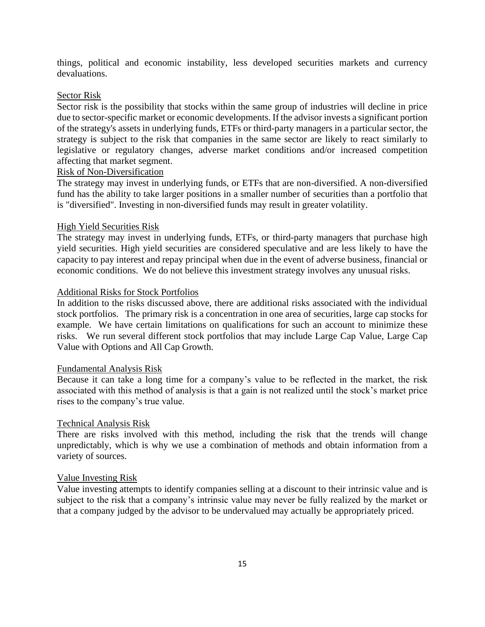things, political and economic instability, less developed securities markets and currency devaluations.

#### Sector Risk

Sector risk is the possibility that stocks within the same group of industries will decline in price due to sector-specific market or economic developments. If the advisor invests a significant portion of the strategy's assets in underlying funds, ETFs or third-party managers in a particular sector, the strategy is subject to the risk that companies in the same sector are likely to react similarly to legislative or regulatory changes, adverse market conditions and/or increased competition affecting that market segment.

# Risk of Non-Diversification

The strategy may invest in underlying funds, or ETFs that are non-diversified. A non-diversified fund has the ability to take larger positions in a smaller number of securities than a portfolio that is "diversified". Investing in non-diversified funds may result in greater volatility.

#### High Yield Securities Risk

The strategy may invest in underlying funds, ETFs, or third-party managers that purchase high yield securities. High yield securities are considered speculative and are less likely to have the capacity to pay interest and repay principal when due in the event of adverse business, financial or economic conditions. We do not believe this investment strategy involves any unusual risks.

### Additional Risks for Stock Portfolios

In addition to the risks discussed above, there are additional risks associated with the individual stock portfolios. The primary risk is a concentration in one area of securities, large cap stocks for example. We have certain limitations on qualifications for such an account to minimize these risks. We run several different stock portfolios that may include Large Cap Value, Large Cap Value with Options and All Cap Growth.

#### Fundamental Analysis Risk

Because it can take a long time for a company's value to be reflected in the market, the risk associated with this method of analysis is that a gain is not realized until the stock's market price rises to the company's true value.

#### Technical Analysis Risk

There are risks involved with this method, including the risk that the trends will change unpredictably, which is why we use a combination of methods and obtain information from a variety of sources.

#### Value Investing Risk

Value investing attempts to identify companies selling at a discount to their intrinsic value and is subject to the risk that a company's intrinsic value may never be fully realized by the market or that a company judged by the advisor to be undervalued may actually be appropriately priced.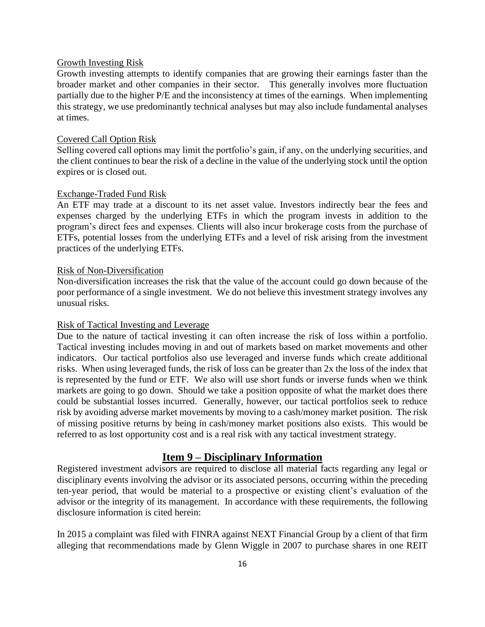#### Growth Investing Risk

Growth investing attempts to identify companies that are growing their earnings faster than the broader market and other companies in their sector. This generally involves more fluctuation partially due to the higher P/E and the inconsistency at times of the earnings. When implementing this strategy, we use predominantly technical analyses but may also include fundamental analyses at times.

# Covered Call Option Risk

Selling covered call options may limit the portfolio's gain, if any, on the underlying securities, and the client continues to bear the risk of a decline in the value of the underlying stock until the option expires or is closed out.

#### Exchange-Traded Fund Risk

An ETF may trade at a discount to its net asset value. Investors indirectly bear the fees and expenses charged by the underlying ETFs in which the program invests in addition to the program's direct fees and expenses. Clients will also incur brokerage costs from the purchase of ETFs, potential losses from the underlying ETFs and a level of risk arising from the investment practices of the underlying ETFs.

#### Risk of Non-Diversification

Non-diversification increases the risk that the value of the account could go down because of the poor performance of a single investment. We do not believe this investment strategy involves any unusual risks.

#### Risk of Tactical Investing and Leverage

Due to the nature of tactical investing it can often increase the risk of loss within a portfolio. Tactical investing includes moving in and out of markets based on market movements and other indicators. Our tactical portfolios also use leveraged and inverse funds which create additional risks. When using leveraged funds, the risk of loss can be greater than 2x the loss of the index that is represented by the fund or ETF. We also will use short funds or inverse funds when we think markets are going to go down. Should we take a position opposite of what the market does there could be substantial losses incurred. Generally, however, our tactical portfolios seek to reduce risk by avoiding adverse market movements by moving to a cash/money market position. The risk of missing positive returns by being in cash/money market positions also exists. This would be referred to as lost opportunity cost and is a real risk with any tactical investment strategy.

# **Item 9 – Disciplinary Information**

Registered investment advisors are required to disclose all material facts regarding any legal or disciplinary events involving the advisor or its associated persons, occurring within the preceding ten-year period, that would be material to a prospective or existing client's evaluation of the advisor or the integrity of its management. In accordance with these requirements, the following disclosure information is cited herein:

In 2015 a complaint was filed with FINRA against NEXT Financial Group by a client of that firm alleging that recommendations made by Glenn Wiggle in 2007 to purchase shares in one REIT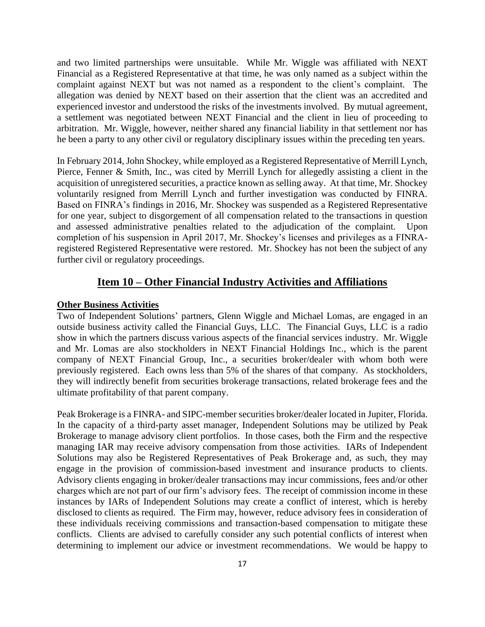and two limited partnerships were unsuitable. While Mr. Wiggle was affiliated with NEXT Financial as a Registered Representative at that time, he was only named as a subject within the complaint against NEXT but was not named as a respondent to the client's complaint. The allegation was denied by NEXT based on their assertion that the client was an accredited and experienced investor and understood the risks of the investments involved. By mutual agreement, a settlement was negotiated between NEXT Financial and the client in lieu of proceeding to arbitration. Mr. Wiggle, however, neither shared any financial liability in that settlement nor has he been a party to any other civil or regulatory disciplinary issues within the preceding ten years.

In February 2014, John Shockey, while employed as a Registered Representative of Merrill Lynch, Pierce, Fenner & Smith, Inc., was cited by Merrill Lynch for allegedly assisting a client in the acquisition of unregistered securities, a practice known as selling away. At that time, Mr. Shockey voluntarily resigned from Merrill Lynch and further investigation was conducted by FINRA. Based on FINRA's findings in 2016, Mr. Shockey was suspended as a Registered Representative for one year, subject to disgorgement of all compensation related to the transactions in question and assessed administrative penalties related to the adjudication of the complaint. Upon completion of his suspension in April 2017, Mr. Shockey's licenses and privileges as a FINRAregistered Registered Representative were restored. Mr. Shockey has not been the subject of any further civil or regulatory proceedings.

# **Item 10 – Other Financial Industry Activities and Affiliations**

#### **Other Business Activities**

Two of Independent Solutions' partners, Glenn Wiggle and Michael Lomas, are engaged in an outside business activity called the Financial Guys, LLC. The Financial Guys, LLC is a radio show in which the partners discuss various aspects of the financial services industry. Mr. Wiggle and Mr. Lomas are also stockholders in NEXT Financial Holdings Inc., which is the parent company of NEXT Financial Group, Inc., a securities broker/dealer with whom both were previously registered. Each owns less than 5% of the shares of that company. As stockholders, they will indirectly benefit from securities brokerage transactions, related brokerage fees and the ultimate profitability of that parent company.

Peak Brokerage is a FINRA- and SIPC-member securities broker/dealer located in Jupiter, Florida. In the capacity of a third-party asset manager, Independent Solutions may be utilized by Peak Brokerage to manage advisory client portfolios. In those cases, both the Firm and the respective managing IAR may receive advisory compensation from those activities. IARs of Independent Solutions may also be Registered Representatives of Peak Brokerage and, as such, they may engage in the provision of commission-based investment and insurance products to clients. Advisory clients engaging in broker/dealer transactions may incur commissions, fees and/or other charges which are not part of our firm's advisory fees. The receipt of commission income in these instances by IARs of Independent Solutions may create a conflict of interest, which is hereby disclosed to clients as required. The Firm may, however, reduce advisory fees in consideration of these individuals receiving commissions and transaction-based compensation to mitigate these conflicts. Clients are advised to carefully consider any such potential conflicts of interest when determining to implement our advice or investment recommendations. We would be happy to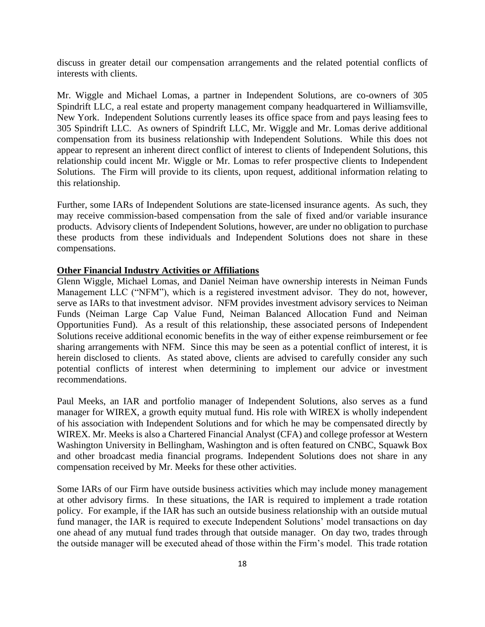discuss in greater detail our compensation arrangements and the related potential conflicts of interests with clients.

Mr. Wiggle and Michael Lomas, a partner in Independent Solutions, are co-owners of 305 Spindrift LLC, a real estate and property management company headquartered in Williamsville, New York. Independent Solutions currently leases its office space from and pays leasing fees to 305 Spindrift LLC. As owners of Spindrift LLC, Mr. Wiggle and Mr. Lomas derive additional compensation from its business relationship with Independent Solutions. While this does not appear to represent an inherent direct conflict of interest to clients of Independent Solutions, this relationship could incent Mr. Wiggle or Mr. Lomas to refer prospective clients to Independent Solutions. The Firm will provide to its clients, upon request, additional information relating to this relationship.

Further, some IARs of Independent Solutions are state-licensed insurance agents. As such, they may receive commission-based compensation from the sale of fixed and/or variable insurance products. Advisory clients of Independent Solutions, however, are under no obligation to purchase these products from these individuals and Independent Solutions does not share in these compensations.

# **Other Financial Industry Activities or Affiliations**

Glenn Wiggle, Michael Lomas, and Daniel Neiman have ownership interests in Neiman Funds Management LLC ("NFM"), which is a registered investment advisor. They do not, however, serve as IARs to that investment advisor. NFM provides investment advisory services to Neiman Funds (Neiman Large Cap Value Fund, Neiman Balanced Allocation Fund and Neiman Opportunities Fund). As a result of this relationship, these associated persons of Independent Solutions receive additional economic benefits in the way of either expense reimbursement or fee sharing arrangements with NFM. Since this may be seen as a potential conflict of interest, it is herein disclosed to clients. As stated above, clients are advised to carefully consider any such potential conflicts of interest when determining to implement our advice or investment recommendations.

Paul Meeks, an IAR and portfolio manager of Independent Solutions, also serves as a fund manager for WIREX, a growth equity mutual fund. His role with WIREX is wholly independent of his association with Independent Solutions and for which he may be compensated directly by WIREX. Mr. Meeks is also a Chartered Financial Analyst (CFA) and college professor at Western Washington University in Bellingham, Washington and is often featured on CNBC, Squawk Box and other broadcast media financial programs. Independent Solutions does not share in any compensation received by Mr. Meeks for these other activities.

Some IARs of our Firm have outside business activities which may include money management at other advisory firms. In these situations, the IAR is required to implement a trade rotation policy. For example, if the IAR has such an outside business relationship with an outside mutual fund manager, the IAR is required to execute Independent Solutions' model transactions on day one ahead of any mutual fund trades through that outside manager. On day two, trades through the outside manager will be executed ahead of those within the Firm's model. This trade rotation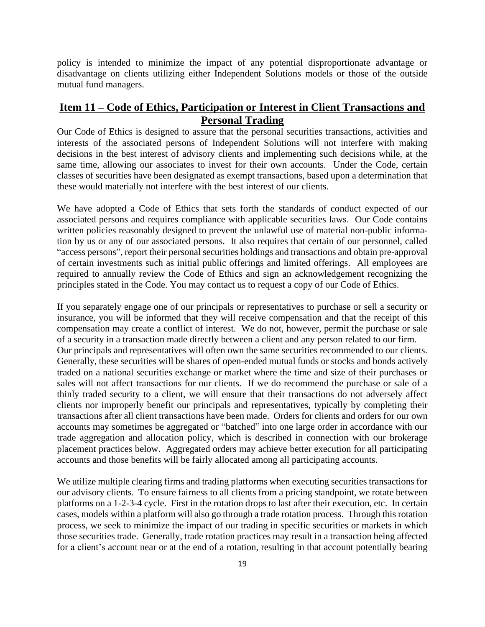policy is intended to minimize the impact of any potential disproportionate advantage or disadvantage on clients utilizing either Independent Solutions models or those of the outside mutual fund managers.

# **Item 11 – Code of Ethics, Participation or Interest in Client Transactions and Personal Trading**

Our Code of Ethics is designed to assure that the personal securities transactions, activities and interests of the associated persons of Independent Solutions will not interfere with making decisions in the best interest of advisory clients and implementing such decisions while, at the same time, allowing our associates to invest for their own accounts. Under the Code, certain classes of securities have been designated as exempt transactions, based upon a determination that these would materially not interfere with the best interest of our clients.

We have adopted a Code of Ethics that sets forth the standards of conduct expected of our associated persons and requires compliance with applicable securities laws. Our Code contains written policies reasonably designed to prevent the unlawful use of material non-public information by us or any of our associated persons. It also requires that certain of our personnel, called "access persons", report their personal securities holdings and transactions and obtain pre-approval of certain investments such as initial public offerings and limited offerings. All employees are required to annually review the Code of Ethics and sign an acknowledgement recognizing the principles stated in the Code. You may contact us to request a copy of our Code of Ethics.

If you separately engage one of our principals or representatives to purchase or sell a security or insurance, you will be informed that they will receive compensation and that the receipt of this compensation may create a conflict of interest. We do not, however, permit the purchase or sale of a security in a transaction made directly between a client and any person related to our firm. Our principals and representatives will often own the same securities recommended to our clients. Generally, these securities will be shares of open-ended mutual funds or stocks and bonds actively traded on a national securities exchange or market where the time and size of their purchases or sales will not affect transactions for our clients. If we do recommend the purchase or sale of a thinly traded security to a client, we will ensure that their transactions do not adversely affect clients nor improperly benefit our principals and representatives, typically by completing their transactions after all client transactions have been made. Orders for clients and orders for our own accounts may sometimes be aggregated or "batched" into one large order in accordance with our trade aggregation and allocation policy, which is described in connection with our brokerage placement practices below. Aggregated orders may achieve better execution for all participating accounts and those benefits will be fairly allocated among all participating accounts.

We utilize multiple clearing firms and trading platforms when executing securities transactions for our advisory clients. To ensure fairness to all clients from a pricing standpoint, we rotate between platforms on a 1-2-3-4 cycle. First in the rotation drops to last after their execution, etc. In certain cases, models within a platform will also go through a trade rotation process. Through this rotation process, we seek to minimize the impact of our trading in specific securities or markets in which those securities trade. Generally, trade rotation practices may result in a transaction being affected for a client's account near or at the end of a rotation, resulting in that account potentially bearing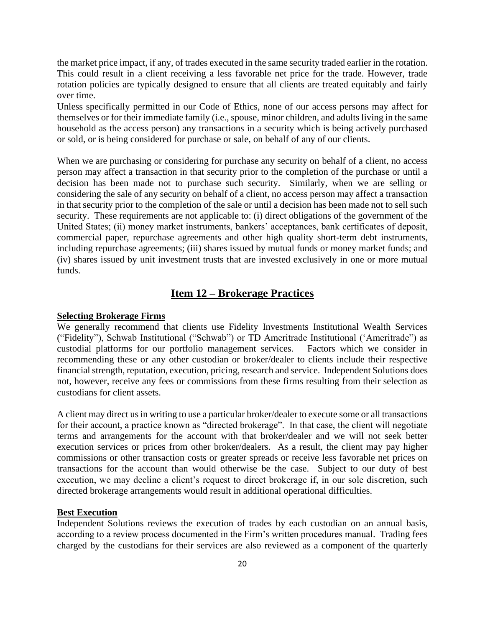the market price impact, if any, of trades executed in the same security traded earlier in the rotation. This could result in a client receiving a less favorable net price for the trade. However, trade rotation policies are typically designed to ensure that all clients are treated equitably and fairly over time.

Unless specifically permitted in our Code of Ethics, none of our access persons may affect for themselves or for their immediate family (i.e., spouse, minor children, and adults living in the same household as the access person) any transactions in a security which is being actively purchased or sold, or is being considered for purchase or sale, on behalf of any of our clients.

When we are purchasing or considering for purchase any security on behalf of a client, no access person may affect a transaction in that security prior to the completion of the purchase or until a decision has been made not to purchase such security. Similarly, when we are selling or considering the sale of any security on behalf of a client, no access person may affect a transaction in that security prior to the completion of the sale or until a decision has been made not to sell such security. These requirements are not applicable to: (i) direct obligations of the government of the United States; (ii) money market instruments, bankers' acceptances, bank certificates of deposit, commercial paper, repurchase agreements and other high quality short-term debt instruments, including repurchase agreements; (iii) shares issued by mutual funds or money market funds; and (iv) shares issued by unit investment trusts that are invested exclusively in one or more mutual funds.

# **Item 12 – Brokerage Practices**

#### **Selecting Brokerage Firms**

We generally recommend that clients use Fidelity Investments Institutional Wealth Services ("Fidelity"), Schwab Institutional ("Schwab") or TD Ameritrade Institutional ('Ameritrade") as custodial platforms for our portfolio management services. Factors which we consider in recommending these or any other custodian or broker/dealer to clients include their respective financial strength, reputation, execution, pricing, research and service. Independent Solutions does not, however, receive any fees or commissions from these firms resulting from their selection as custodians for client assets.

A client may direct us in writing to use a particular broker/dealer to execute some or all transactions for their account, a practice known as "directed brokerage". In that case, the client will negotiate terms and arrangements for the account with that broker/dealer and we will not seek better execution services or prices from other broker/dealers. As a result, the client may pay higher commissions or other transaction costs or greater spreads or receive less favorable net prices on transactions for the account than would otherwise be the case. Subject to our duty of best execution, we may decline a client's request to direct brokerage if, in our sole discretion, such directed brokerage arrangements would result in additional operational difficulties.

#### **Best Execution**

Independent Solutions reviews the execution of trades by each custodian on an annual basis, according to a review process documented in the Firm's written procedures manual. Trading fees charged by the custodians for their services are also reviewed as a component of the quarterly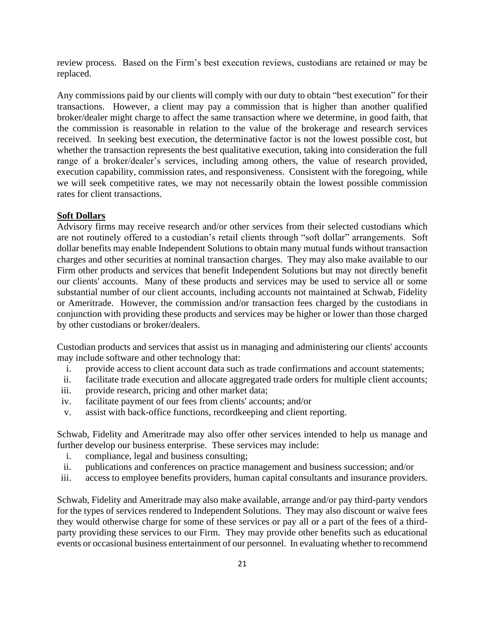review process. Based on the Firm's best execution reviews, custodians are retained or may be replaced.

Any commissions paid by our clients will comply with our duty to obtain "best execution" for their transactions. However, a client may pay a commission that is higher than another qualified broker/dealer might charge to affect the same transaction where we determine, in good faith, that the commission is reasonable in relation to the value of the brokerage and research services received. In seeking best execution, the determinative factor is not the lowest possible cost, but whether the transaction represents the best qualitative execution, taking into consideration the full range of a broker/dealer's services, including among others, the value of research provided, execution capability, commission rates, and responsiveness. Consistent with the foregoing, while we will seek competitive rates, we may not necessarily obtain the lowest possible commission rates for client transactions.

#### **Soft Dollars**

Advisory firms may receive research and/or other services from their selected custodians which are not routinely offered to a custodian's retail clients through "soft dollar" arrangements. Soft dollar benefits may enable Independent Solutions to obtain many mutual funds without transaction charges and other securities at nominal transaction charges. They may also make available to our Firm other products and services that benefit Independent Solutions but may not directly benefit our clients' accounts. Many of these products and services may be used to service all or some substantial number of our client accounts, including accounts not maintained at Schwab, Fidelity or Ameritrade. However, the commission and/or transaction fees charged by the custodians in conjunction with providing these products and services may be higher or lower than those charged by other custodians or broker/dealers.

Custodian products and services that assist us in managing and administering our clients' accounts may include software and other technology that:

- i. provide access to client account data such as trade confirmations and account statements;
- ii. facilitate trade execution and allocate aggregated trade orders for multiple client accounts;
- iii. provide research, pricing and other market data;
- iv. facilitate payment of our fees from clients' accounts; and/or
- v. assist with back-office functions, recordkeeping and client reporting.

Schwab, Fidelity and Ameritrade may also offer other services intended to help us manage and further develop our business enterprise. These services may include:

- i. compliance, legal and business consulting;
- ii. publications and conferences on practice management and business succession; and/or
- iii. access to employee benefits providers, human capital consultants and insurance providers.

Schwab, Fidelity and Ameritrade may also make available, arrange and/or pay third-party vendors for the types of services rendered to Independent Solutions. They may also discount or waive fees they would otherwise charge for some of these services or pay all or a part of the fees of a thirdparty providing these services to our Firm. They may provide other benefits such as educational events or occasional business entertainment of our personnel. In evaluating whether to recommend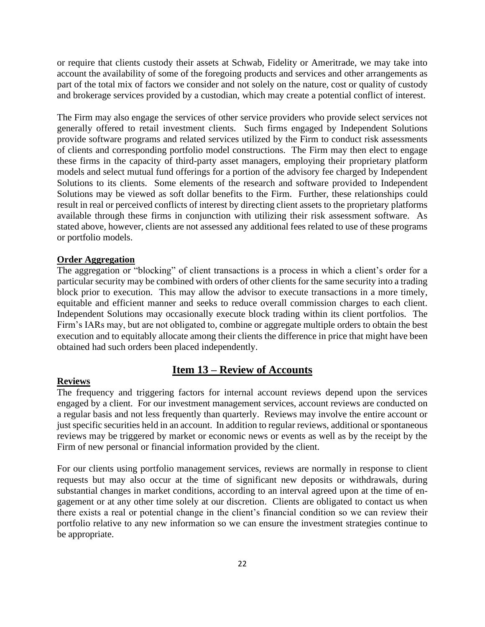or require that clients custody their assets at Schwab, Fidelity or Ameritrade, we may take into account the availability of some of the foregoing products and services and other arrangements as part of the total mix of factors we consider and not solely on the nature, cost or quality of custody and brokerage services provided by a custodian, which may create a potential conflict of interest.

The Firm may also engage the services of other service providers who provide select services not generally offered to retail investment clients. Such firms engaged by Independent Solutions provide software programs and related services utilized by the Firm to conduct risk assessments of clients and corresponding portfolio model constructions. The Firm may then elect to engage these firms in the capacity of third-party asset managers, employing their proprietary platform models and select mutual fund offerings for a portion of the advisory fee charged by Independent Solutions to its clients. Some elements of the research and software provided to Independent Solutions may be viewed as soft dollar benefits to the Firm. Further, these relationships could result in real or perceived conflicts of interest by directing client assets to the proprietary platforms available through these firms in conjunction with utilizing their risk assessment software. As stated above, however, clients are not assessed any additional fees related to use of these programs or portfolio models.

#### **Order Aggregation**

The aggregation or "blocking" of client transactions is a process in which a client's order for a particular security may be combined with orders of other clients for the same security into a trading block prior to execution. This may allow the advisor to execute transactions in a more timely, equitable and efficient manner and seeks to reduce overall commission charges to each client. Independent Solutions may occasionally execute block trading within its client portfolios. The Firm's IARs may, but are not obligated to, combine or aggregate multiple orders to obtain the best execution and to equitably allocate among their clients the difference in price that might have been obtained had such orders been placed independently.

#### **Reviews**

# **Item 13 – Review of Accounts**

The frequency and triggering factors for internal account reviews depend upon the services engaged by a client. For our investment management services, account reviews are conducted on a regular basis and not less frequently than quarterly. Reviews may involve the entire account or just specific securities held in an account. In addition to regular reviews, additional or spontaneous reviews may be triggered by market or economic news or events as well as by the receipt by the Firm of new personal or financial information provided by the client.

For our clients using portfolio management services, reviews are normally in response to client requests but may also occur at the time of significant new deposits or withdrawals, during substantial changes in market conditions, according to an interval agreed upon at the time of engagement or at any other time solely at our discretion. Clients are obligated to contact us when there exists a real or potential change in the client's financial condition so we can review their portfolio relative to any new information so we can ensure the investment strategies continue to be appropriate.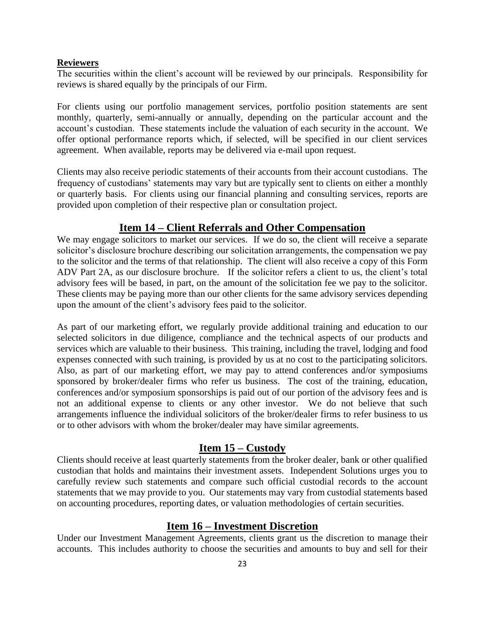# **Reviewers**

The securities within the client's account will be reviewed by our principals. Responsibility for reviews is shared equally by the principals of our Firm.

For clients using our portfolio management services, portfolio position statements are sent monthly, quarterly, semi-annually or annually, depending on the particular account and the account's custodian. These statements include the valuation of each security in the account. We offer optional performance reports which, if selected, will be specified in our client services agreement. When available, reports may be delivered via e-mail upon request.

Clients may also receive periodic statements of their accounts from their account custodians. The frequency of custodians' statements may vary but are typically sent to clients on either a monthly or quarterly basis. For clients using our financial planning and consulting services, reports are provided upon completion of their respective plan or consultation project.

# **Item 14 – Client Referrals and Other Compensation**

We may engage solicitors to market our services. If we do so, the client will receive a separate solicitor's disclosure brochure describing our solicitation arrangements, the compensation we pay to the solicitor and the terms of that relationship. The client will also receive a copy of this Form ADV Part 2A, as our disclosure brochure. If the solicitor refers a client to us, the client's total advisory fees will be based, in part, on the amount of the solicitation fee we pay to the solicitor. These clients may be paying more than our other clients for the same advisory services depending upon the amount of the client's advisory fees paid to the solicitor.

As part of our marketing effort, we regularly provide additional training and education to our selected solicitors in due diligence, compliance and the technical aspects of our products and services which are valuable to their business. This training, including the travel, lodging and food expenses connected with such training, is provided by us at no cost to the participating solicitors. Also, as part of our marketing effort, we may pay to attend conferences and/or symposiums sponsored by broker/dealer firms who refer us business. The cost of the training, education, conferences and/or symposium sponsorships is paid out of our portion of the advisory fees and is not an additional expense to clients or any other investor. We do not believe that such arrangements influence the individual solicitors of the broker/dealer firms to refer business to us or to other advisors with whom the broker/dealer may have similar agreements.

# **Item 15 – Custody**

Clients should receive at least quarterly statements from the broker dealer, bank or other qualified custodian that holds and maintains their investment assets. Independent Solutions urges you to carefully review such statements and compare such official custodial records to the account statements that we may provide to you. Our statements may vary from custodial statements based on accounting procedures, reporting dates, or valuation methodologies of certain securities.

# **Item 16 – Investment Discretion**

Under our Investment Management Agreements, clients grant us the discretion to manage their accounts. This includes authority to choose the securities and amounts to buy and sell for their